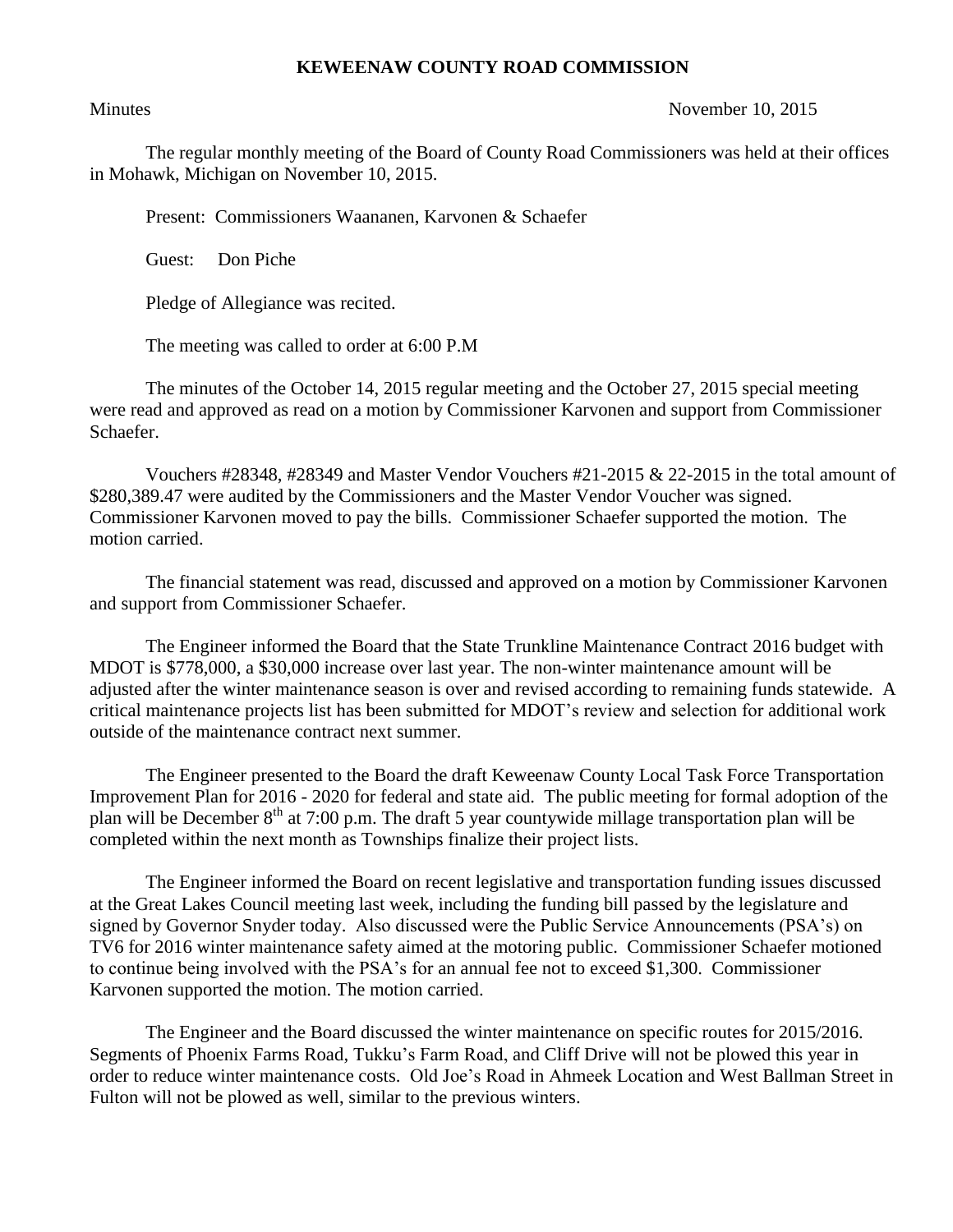## **KEWEENAW COUNTY ROAD COMMISSION**

## Minutes November 10, 2015

The regular monthly meeting of the Board of County Road Commissioners was held at their offices in Mohawk, Michigan on November 10, 2015.

Present: Commissioners Waananen, Karvonen & Schaefer

Guest: Don Piche

Pledge of Allegiance was recited.

The meeting was called to order at 6:00 P.M

The minutes of the October 14, 2015 regular meeting and the October 27, 2015 special meeting were read and approved as read on a motion by Commissioner Karvonen and support from Commissioner Schaefer.

Vouchers #28348, #28349 and Master Vendor Vouchers #21-2015 & 22-2015 in the total amount of \$280,389.47 were audited by the Commissioners and the Master Vendor Voucher was signed. Commissioner Karvonen moved to pay the bills. Commissioner Schaefer supported the motion. The motion carried.

The financial statement was read, discussed and approved on a motion by Commissioner Karvonen and support from Commissioner Schaefer.

The Engineer informed the Board that the State Trunkline Maintenance Contract 2016 budget with MDOT is \$778,000, a \$30,000 increase over last year. The non-winter maintenance amount will be adjusted after the winter maintenance season is over and revised according to remaining funds statewide. A critical maintenance projects list has been submitted for MDOT's review and selection for additional work outside of the maintenance contract next summer.

The Engineer presented to the Board the draft Keweenaw County Local Task Force Transportation Improvement Plan for 2016 - 2020 for federal and state aid. The public meeting for formal adoption of the plan will be December 8<sup>th</sup> at 7:00 p.m. The draft 5 year countywide millage transportation plan will be completed within the next month as Townships finalize their project lists.

The Engineer informed the Board on recent legislative and transportation funding issues discussed at the Great Lakes Council meeting last week, including the funding bill passed by the legislature and signed by Governor Snyder today. Also discussed were the Public Service Announcements (PSA's) on TV6 for 2016 winter maintenance safety aimed at the motoring public. Commissioner Schaefer motioned to continue being involved with the PSA's for an annual fee not to exceed \$1,300. Commissioner Karvonen supported the motion. The motion carried.

The Engineer and the Board discussed the winter maintenance on specific routes for 2015/2016. Segments of Phoenix Farms Road, Tukku's Farm Road, and Cliff Drive will not be plowed this year in order to reduce winter maintenance costs. Old Joe's Road in Ahmeek Location and West Ballman Street in Fulton will not be plowed as well, similar to the previous winters.